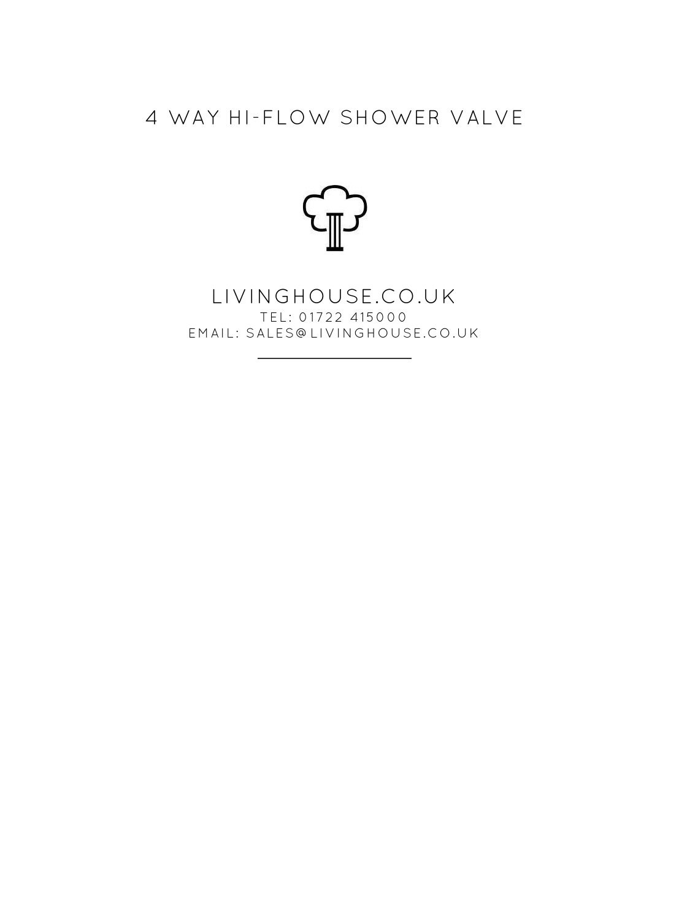## 4 WAY HI-FLOW SHOWER VALVE



LIVINGHOUSE.CO.UK TEL: 01722 415000 EMAIL: SALES@LIVINGHOUSE.CO.UK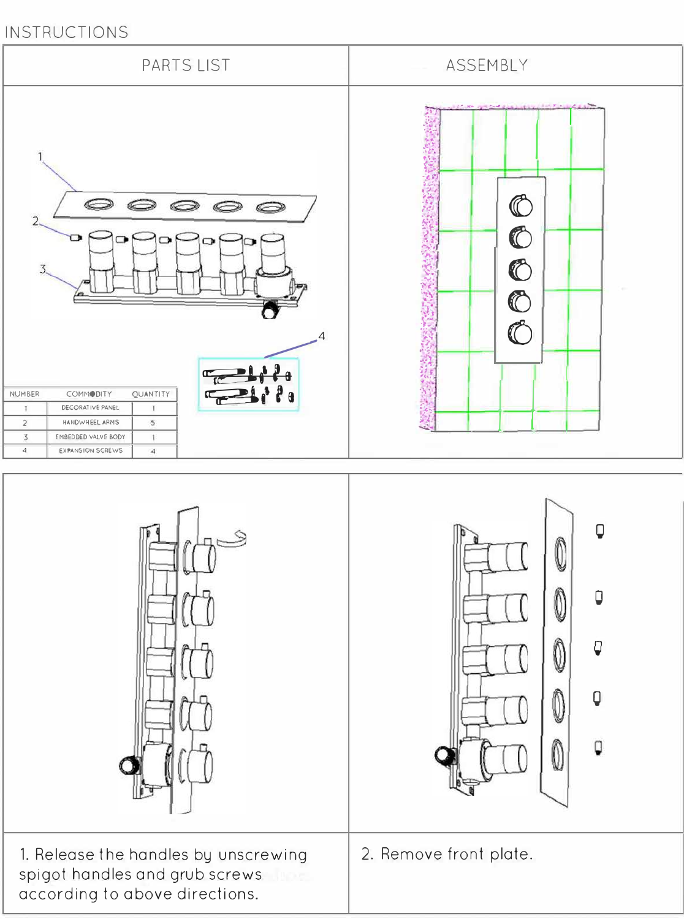## INSTRUCTIONS

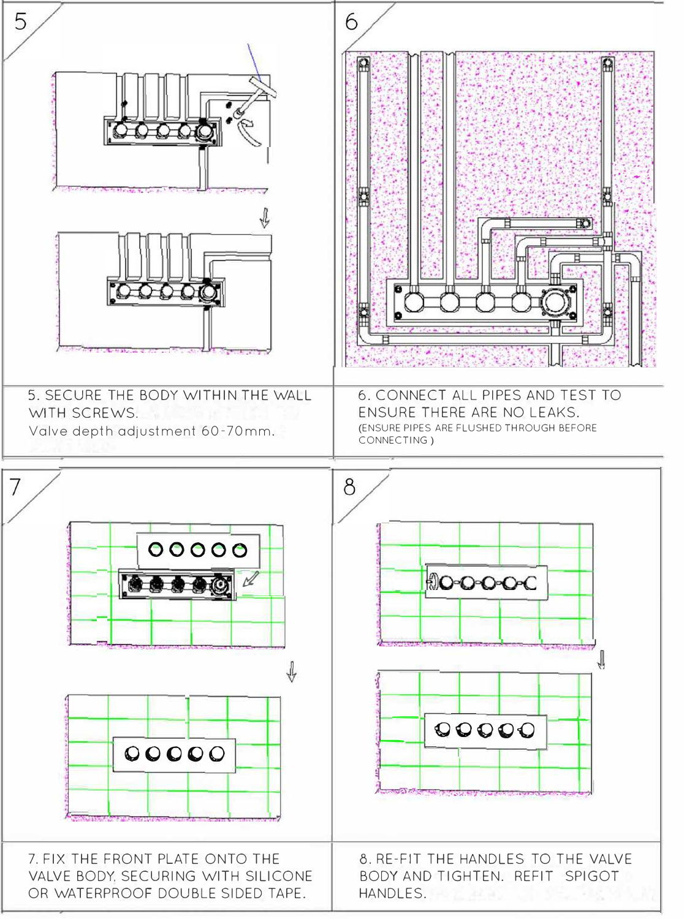